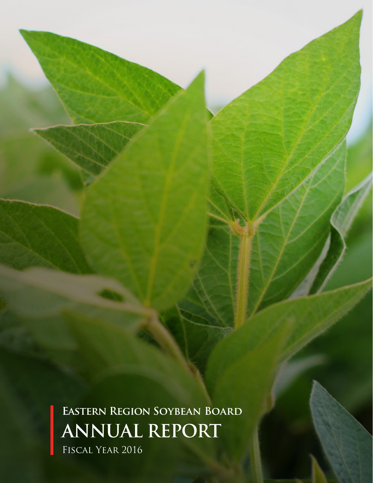**Eastern Region Soybean Board ANNUAL REPORT** Fiscal Year 2016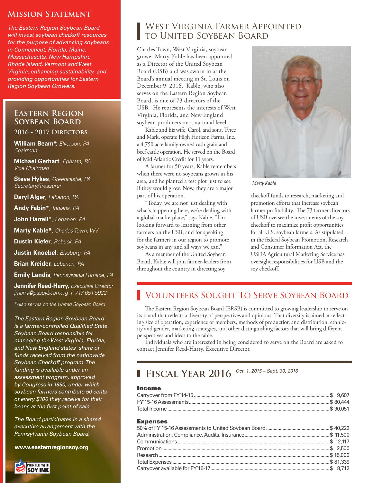### **Mission Statement**

*The Eastern Region Soybean Board will invest soybean checkoff resources for the purpose of advancing soybeans in Connecticut, Florida, Maine, Massachusetts, New Hampshire, Rhode Island, Vermont and West Virginia, enhancing sustainability, and providing opportunities for Eastern Region Soybean Growers.*

## **Eastern Region Soybean Board**

#### **2016 - 2017 Directors**

**William Beam\****, Elverson, PA Chairman* 

**Michael Gerhart***, Ephrata, PA Vice Chairman* 

**Steve Hykes***, Greencastle, PA Secretary/Treasurer*

**Daryl Alger***, Lebanon, PA*

**Andy Fabin\****, Indiana, PA* 

**John Harrell\****, Lebanon, PA*

**Marty Kable\****, Charles Town, WV*

**Dustin Kiefer***, Rebuck, PA*

**Justin Knoebel***, Elysburg, PA*

**Brian Kreider,** *Lebanon, PA* 

**Emily Landis***, Pennsylvania Furnace, PA*

**Jennifer Reed-Harry,** *Executive Director jrharry@pasoybean.org | 717-651-5922* 

*\*Also serves on the United Soybean Board*

*The Eastern Region Soybean Board is a farmer-controlled Qualified State Soybean Board responsible for managing the West Virginia, Florida, and New England states' share of funds received from the nationwide Soybean Checkoff program. The funding is available under an assessment program, approved by Congress in 1990, under which soybean farmers contribute 50 cents of every \$100 they receive for their beans at the first point of sale.*

*The Board participates in a shared executive arrangement with the Pennsylvania Soybean Board.* 

**www.easternregionsoy.org**



## West Virginia Farmer Appointed to United Soybean Board

Charles Town, West Virginia, soybean grower Marty Kable has been appointed as a Director of the United Soybean Board (USB) and was sworn in at the Board's annual meeting in St. Louis on December 9, 2016. Kable, who also serves on the Eastern Region Soybean Board, is one of 73 directors of the USB. He represents the interests of West Virginia, Florida, and New England soybean producers on a national level.

Kable and his wife, Carol, and sons, Tyree and Mark, operate High Horizon Farms, Inc., a 4,750 acre family-owned cash grain and beef cattle operation. He served on the Board of Mid Atlantic Credit for 11 years.

A farmer for 50 years, Kable remembers when there were no soybeans grown in his area, and he planted a test plot just to see if they would grow. Now, they are a major part of his operation.

"Today, we are not just dealing with what's happening here, we're dealing with a global marketplace," says Kable. "I'm looking forward to learning from other farmers on the USB, and for speaking for the farmers in our region to promote soybeans in any and all ways we can."

As a member of the United Soybean Board, Kable will join farmer-leaders from throughout the country in directing soy



*Marty Kable*

checkoff funds to research, marketing and promotion efforts that increase soybean farmer profitability. The 73 farmer-directors of USB oversee the investments of the soy checkoff to maximize profit opportunities for all U.S. soybean farmers. As stipulated in the federal Soybean Promotion, Research and Consumer Information Act, the USDA Agricultural Marketing Service has oversight responsibilities for USB and the soy checkoff.

# Volunteers Sought To Serve Soybean Board

The Eastern Region Soybean Board (ERSB) is committed to growing leadership to serve on its board that reflects a diversity of perspectives and opinions That diversity is aimed at reflecting size of operation, experience of members, methods of production and distribution, ethnicity and gender, marketing strategies, and other distinguishing factors that will bring different perspectives and ideas to the table.

Individuals who are interested in being considered to serve on the Board are asked to contact Jennifer Reed-Harry, Executive Director.

# **Fiscal Year 2016** *Oct. 1, 2015 – Sept. 30, 2016*

#### Income

#### Expenses

| ЕЛИСПОСО |  |
|----------|--|
|          |  |
|          |  |
|          |  |
|          |  |
|          |  |
|          |  |
|          |  |
|          |  |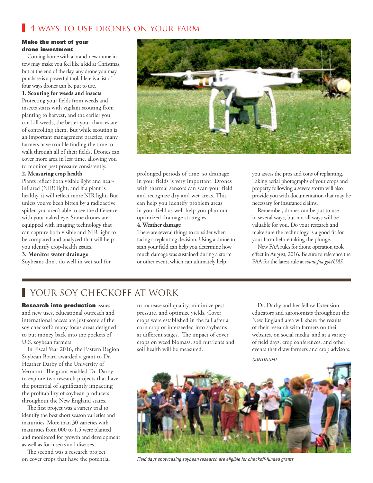# 4 ways to use drones on your farm

#### Make the most of your drone investment

Coming home with a brand-new drone in tow may make you feel like a kid at Christmas, but at the end of the day, any drone you may purchase is a powerful tool. Here is a list of four ways drones can be put to use.

#### **1. Scouting for weeds and insects**

Protecting your fields from weeds and insects starts with vigilant scouting from planting to harvest, and the earlier you can kill weeds, the better your chances are of controlling them. But while scouting is an important management practice, many farmers have trouble finding the time to walk through all of their fields. Drones can cover more area in less time, allowing you to monitor pest pressure consistently.

#### **2. Measuring crop health**

Plants reflect both visible light and nearinfrared (NIR) light, and if a plant is healthy, it will reflect more NIR light. But unless you've been bitten by a radioactive spider, you aren't able to see the difference with your naked eye. Some drones are equipped with imaging technology that can capture both visible and NIR light to be compared and analyzed that will help you identify crop-health issues.

#### **3. Monitor water drainage**

Soybeans don't do well in wet soil for



prolonged periods of time, so drainage in your fields is very important. Drones with thermal sensors can scan your field and recognize dry and wet areas. This can help you identify problem areas in your field as well help you plan out optimized drainage strategies.

### **4. Weather damage**

There are several things to consider when facing a replanting decision. Using a drone to scan your field can help you determine how much damage was sustained during a storm or other event, which can ultimately help

you assess the pros and cons of replanting. Taking aerial photographs of your crops and property following a severe storm will also provide you with documentation that may be necessary for insurance claims.

Remember, drones can be put to use in several ways, but not all ways will be valuable for you. Do your research and make sure the technology is a good fit for your farm before taking the plunge.

New FAA rules for drone operation took effect in August, 2016. Be sure to reference the FAA for the latest rule at *www.faa.gov/UAS*.

# **YOUR SOY CHECKOFF AT WORK**

**Research into production issues** and new uses, educational outreach and international access are just some of the soy checkoff's many focus areas designed to put money back into the pockets of U.S. soybean farmers.

In Fiscal Year 2016, the Eastern Region Soybean Board awarded a grant to Dr. Heather Darby of the University of Vermont. The grant enabled Dr. Darby to explore two research projects that have the potential of significantly impacting the profitability of soybean producers throughout the New England states.

The first project was a variety trial to identify the best short season varieties and maturities. More than 30 varieties with maturities from 000 to 1.5 were planted and monitored for growth and development as well as for insects and diseases.

The second was a research project on cover crops that have the potential

to increase soil quality, minimize pest pressure, and optimize yields. Cover crops were established in the fall after a corn crop or interseeded into soybeans at different stages. The impact of cover crops on weed biomass, soil nutrients and soil health will be measured.

Dr. Darby and her fellow Extension educators and agronomists throughout the New England area will share the results of their research with farmers on their websites, on social media, and at a variety of field days, crop conferences, and other events that draw farmers and crop advisors. *CONTINUED...*



*Field days showcasing soybean research are eligible for checkoff-funded grants.*